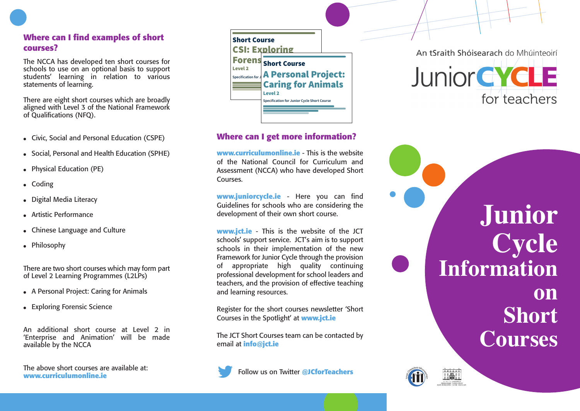# Where can I find examples of short **c o u r s e s ?**

The NCCA has developed ten short courses for schools to use on an optional basis to support students' learning in relation to various statements of learning.

There are eight short courses which are broadly aligned with Level 3 of the National Framework o f Q u a l i f i c a t i o n s ( N F Q) .

- Civic, Social and Personal Education (CSPE)
- $\bullet$  Social, Personal and Health Education (SPHE)
- Physical Education (PE)
- $\bullet$  Coding
- $\bullet$  Digital Media Literacy
- Artistic Performance
- Chinese Language and Culture
- $\bullet$  Philosophy

There are two short courses which may form part of Level 2 Learning Programmes (L2LPs)

- A Personal Project: Caring for Animals
- Exploring Forensic Science

An additional short course at Level 2 in 'Enterprise and Animation' will be made available by the NCCA

The above short courses are available at: **www.curriculumonline.ie** 



## Where can I get more information?

**www.curriculumonline.ie** - This is the website of the National Council for Curriculum and Assessment (NCCA) who have developed Short Courses.

**www.juniorcycle.ie** - Here you can find Guidelines for schools who are considering the development of their own short course.

**www.jct.ie** - This is the website of the JCT schools' support service. JCT's aim is to support schools in their implementation of the new Framework for Junior Cycle through the provision of appropriate high quality continuing professional development for school leaders and teachers, and the provision of effective teaching and learning resources.

Register for the short courses newsletter 'Short Courses in the Spotlight' at www.jct.ie

The JCT Short Courses team can be contacted by email at info@jct.ie

**Follow us on Twitter @JCforTeachers** 



**J u n i o r C y c l e** Information **o n S h o r t**  $C$ **ourses**